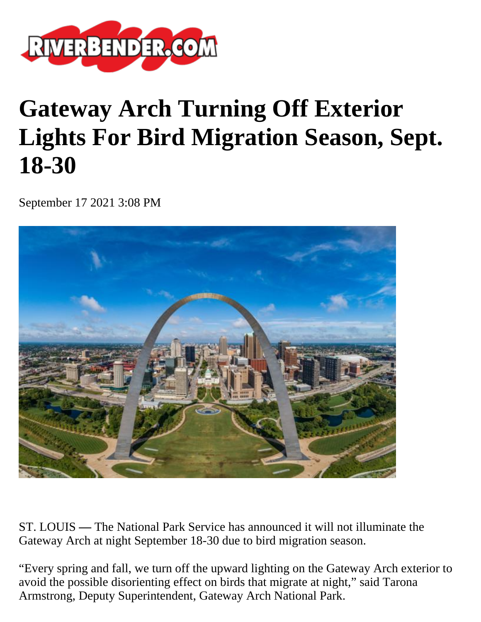

## **Gateway Arch Turning Off Exterior Lights For Bird Migration Season, Sept. 18-30**

September 17 2021 3:08 PM



ST. LOUIS **—** The National Park Service has announced it will not illuminate the Gateway Arch at night September 18-30 due to bird migration season.

"Every spring and fall, we turn off the upward lighting on the Gateway Arch exterior to avoid the possible disorienting effect on birds that migrate at night," said Tarona Armstrong, Deputy Superintendent, Gateway Arch National Park.